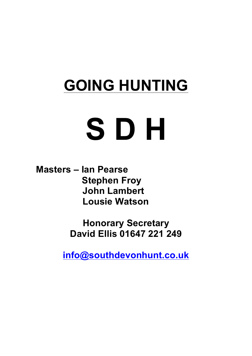## **GOING HUNTING**

# **S D H**

**Masters – Ian Pearse Stephen Froy John Lambert Lousie Watson**

> **Honorary Secretary David Ellis 01647 221 249**

**info@southdevonhunt.co.uk**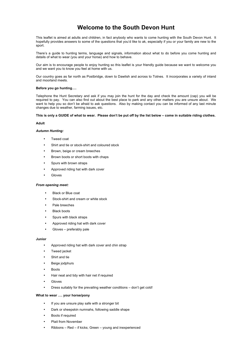### **Welcome to the South Devon Hunt**

This leaflet is aimed at adults and children, in fact anybody who wants to come hunting with the South Devon Hunt. It hopefully provides answers to some of the questions that you'd like to ak, especially if you or your family are new to the sport.

There's a guide to hunting terms, language and signals, information about what to do before you come hunting and details of what to wear (you and your horse) and how to behave.

Our aim is to encourage people to enjoy hunting so this leaflet is your friendly guide because we want to welcome you and we want you to know you feel at home with us.

Our country goes as far north as Postbridge, down to Dawlish and across to Totnes. It incorporates a variety of inland and moorland meets.

#### **Before you go hunting….**

Telephone the Hunt Secretary and ask if you may join the hunt for the day and check the amount (cap) you will be required to pay. You can also find out about the best place to park and any other matters you are unsure about. We want to help you so don't be afraid to ask questions. Also by making contact you can be informed of any last minute changes due to weather, farming issues, etc.

#### **This is only a GUIDE of what to wear. Please don't be put off by the list below – come in suitable riding clothes.**

#### **Adult**

#### *Autumn Hunting:*

- Tweed coat
- Shirt and tie or stock-shirt and coloured stock
- Brown, beige or cream breeches
- Brown boots or short boots with chaps
- Spurs with brown straps
- Approved riding hat with dark cover
- Gloves

#### *From opening meet:*

- Black or Blue coat
- Stock-shirt and cream or white stock
- Pale breeches
- **Black boots**
- Spurs with black straps
- Approved riding hat with dark cover
- Gloves preferably pale

#### **Junior**

- Approved riding hat with dark cover and chin strap
- **Tweed jacket**
- Shirt and tie
- Beige jodphurs
- **Boots**
- Hair neat and tidy with hair net if required
- Gloves
- Dress suitably for the prevailing weather conditions don't get cold!

#### **What to wear …. your horse/pony**

- If you are unsure play safe with a stronger bit
- Dark or sheepskin numnahs, following saddle shape
- Boots if required
- Plait from November
- Ribbons Red if kicks; Green young and inexperienced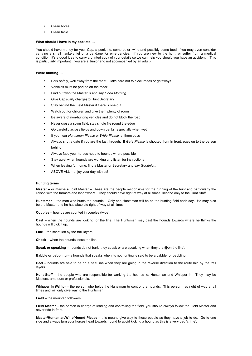- Clean horse!
- Clean tack!

#### **What should I have in my pockets….**

You should have money for your Cap, a penknife, some baler twine and possibly some food. You may even consider carrying a small hankerchief or a bandage for emergencies. If you are new to the hunt, or suffer from a medical condition, it's a good idea to carry a printed copy of your details so we can help you should you have an accident. (This is particularly important if you are a Junior and not accompanied by an adult).

#### **While hunting….**

- Park safely, well away from the meet. Take care not to block roads or gateways
- Vehicles must be parked on the moor
- Find out who the Master is and say *Good Morning*
- Give Cap (daily charge) to Hunt Secretary
- Stay behind the Field Master if there is one out
- Watch out for children and give them plenty of room
- Be aware of non-hunting vehicles and do not block the road
- Never cross a sown field, stay single file round the edge
- Go carefully across fields and down banks, especially when wet
- If you hear *Huntsman Please* or *Whip Please* let them pass
- Always shut a gate if you are the last through**.** If *Gate Please* is shouted from In front, pass on to the person behind
- Always face your horses head to hounds where possible
- Stay quiet when hounds are working and listen for instructions
- When leaving for home, find a Master or Secretary and say *Goodnight*
- ABOVE ALL enjoy your day with us!

#### **Hunting terms**

**Master –** or maybe a Joint Master – These are the people responsible for the running of the hunt and particularly the liaison with the farmers and landowners. They should have right of way at all times, second only to the Hunt Staff.

**Huntsman** – the man who hunts the hounds. Only one Huntsman will be on the hunting field each day. He may also be the Master and he has absolute right of way at all times.

**Couples** – hounds are counted in couples (twos).

**Cast** – when the hounds are looking for the line. The Huntsman may cast the hounds towards where he thinks the hounds will pick it up.

**Line** – the scent left by the trail layers.

**Check** – when the hounds loose the line.

**Speak or speaking** – hounds do not bark, they speak or are speaking when they are @on the line'.

**Babble or babbling** – a hounds that speaks when its not hunting is said to be a babbler or babbling.

**Heel** – hounds are said to be on a heel line when they are going in the reverse direction to the route laid by the trail layers.

**Hunt Staff** – the people who are responsible for working the hounds ie: Huntsman and Whipper In. They may be Masters, amateurs or professionals.

Whipper In (Whip) – the person who helps the Hunstman to control the hounds. This person has right of way at all times and will only give way to the Huntsman.

**Field** – the mounted followers.

**Field Master** – the person in charge of leading and controlling the field, you should always follow the Field Master and never ride in front.

**Master/Huntsman/Whip/Hound Please** – this means give way to these people as they have a job to do. Go to one side and always turn your horses head towards hound to avoid kicking a hound as this is a very bad 'crime'.